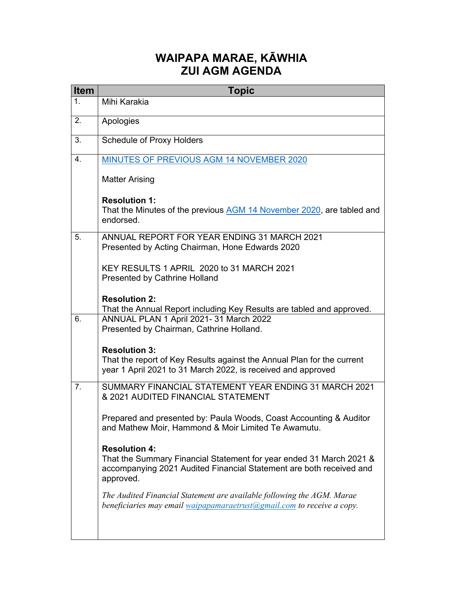## **WAIPAPA MARAE, KĀWHIA ZUI AGM AGENDA**

| <b>Item</b>    | <b>Topic</b>                                                                                                                                                                    |
|----------------|---------------------------------------------------------------------------------------------------------------------------------------------------------------------------------|
| 1 <sub>1</sub> | Mihi Karakia                                                                                                                                                                    |
| 2.             | Apologies                                                                                                                                                                       |
| 3.             | <b>Schedule of Proxy Holders</b>                                                                                                                                                |
| 4.             | MINUTES OF PREVIOUS AGM 14 NOVEMBER 2020                                                                                                                                        |
|                | <b>Matter Arising</b>                                                                                                                                                           |
|                | <b>Resolution 1:</b><br>That the Minutes of the previous AGM 14 November 2020, are tabled and<br>endorsed.                                                                      |
| 5.             | ANNUAL REPORT FOR YEAR ENDING 31 MARCH 2021<br>Presented by Acting Chairman, Hone Edwards 2020                                                                                  |
|                | KEY RESULTS 1 APRIL 2020 to 31 MARCH 2021<br><b>Presented by Cathrine Holland</b>                                                                                               |
|                | <b>Resolution 2:</b><br>That the Annual Report including Key Results are tabled and approved.                                                                                   |
| 6.             | ANNUAL PLAN 1 April 2021- 31 March 2022<br>Presented by Chairman, Cathrine Holland.                                                                                             |
|                | <b>Resolution 3:</b><br>That the report of Key Results against the Annual Plan for the current<br>year 1 April 2021 to 31 March 2022, is received and approved                  |
| 7 <sub>1</sub> | SUMMARY FINANCIAL STATEMENT YEAR ENDING 31 MARCH 2021<br>& 2021 AUDITED FINANCIAL STATEMENT                                                                                     |
|                | Prepared and presented by: Paula Woods, Coast Accounting & Auditor<br>and Mathew Moir, Hammond & Moir Limited Te Awamutu.                                                       |
|                | <b>Resolution 4:</b><br>That the Summary Financial Statement for year ended 31 March 2021 &<br>accompanying 2021 Audited Financial Statement are both received and<br>approved. |
|                | The Audited Financial Statement are available following the AGM. Marae<br>beneficiaries may email waipapamaraetrust@gmail.com to receive a copy.                                |
|                |                                                                                                                                                                                 |